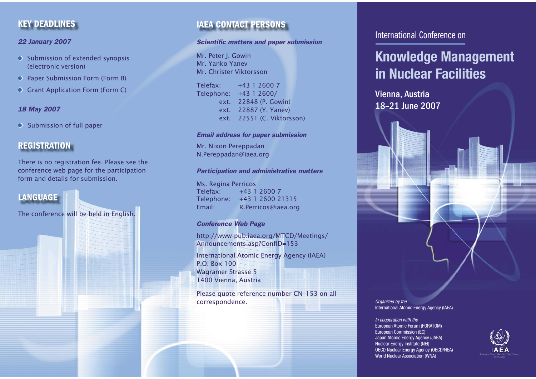# **KEY DEADLINES**

#### *22 January 2007*

- Submission of extended synopsis (electronic version)
- Paper Submission Form (Form B)  $\bullet$
- Grant Application Form (Form C)  $\bullet$

## *18 May 2007*

 Submission of full paper  $\bullet$ 

# **REGISTRATION**

There is no registration fee. Please see the conference web page for the participation form and details for submission.

# **LANGUAGE**

The conference will be held in English.

# **IAEA CONTACT PERSONS**

#### **Scientific matters and paper submission**

Mr. Peter I. Gowin Mr. Yanko YanevMr. Christer Viktorsson

Telefax: +43 1 2600 7 Telephone: +43 1 2600/ ext. 22848 (P. Gowin) ext. 22887 (Y. Yanev) ext. 22551 (C. Viktorsson)

#### *Email address for paper submission*

Mr. Nixon Pereppadan N.Pereppadan@iaea.org

#### *Participation and administrative matters*

Ms. Regina Perricos Telefax: +43 1 2600 7Telephone: +43 1 2600 21315 Email: R.Perricos@iaea.org

## *Conference Web Page*

http://www-pub.iaea.org/MTCD/Meetings/ Announcements.asp?ConfID=153

International Atomic Energy Agency (IAEA) P.O. Box 100Wagramer Strasse 5 1400 Vienna, Austria

Please quote reference number CN–153 on all correspondence.

# International Conference on

# **Knowledge Management in Nuclear Facilities**

Vienna, Austria 18–21 June 2007



*In cooperation with the* European Atomic Forum (FORATOM) European Commission (EC) Japan Atomic Energy Agency (JAEA) Nuclear Energy Institute (NEI) OECD Nuclear Energy Agency (OECD/NEA) World Nuclear Association (WNA)